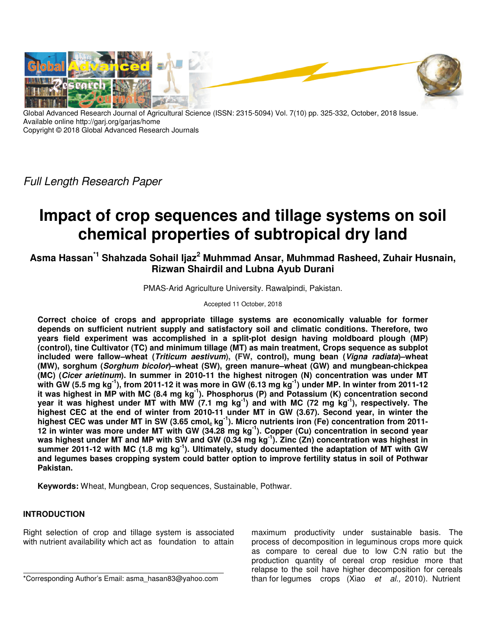

Global Advanced Research Journal of Agricultural Science (ISSN: 2315-5094) Vol. 7(10) pp. 325-332, October, 2018 Issue. Available online http://garj.org/garjas/home Copyright © 2018 Global Advanced Research Journals

Full Length Research Paper

# **Impact of crop sequences and tillage systems on soil chemical properties of subtropical dry land**

**Asma Hassan\*1 Shahzada Sohail Ijaz<sup>2</sup> Muhmmad Ansar, Muhmmad Rasheed, Zuhair Husnain, Rizwan Shairdil and Lubna Ayub Durani**

PMAS-Arid Agriculture University. Rawalpindi, Pakistan.

# Accepted 11 October, 2018

**Correct choice of crops and appropriate tillage systems are economically valuable for former depends on sufficient nutrient supply and satisfactory soil and climatic conditions. Therefore, two years field experiment was accomplished in a split-plot design having moldboard plough (MP) (control), tine Cultivator (TC) and minimum tillage (MT) as main treatment, Crops sequence as subplot included were fallow–wheat (Triticum aestivum), (FW, control), mung bean (Vigna radiata)–wheat (MW), sorghum (Sorghum bicolor)–wheat (SW), green manure–wheat (GW) and mungbean-chickpea (MC) (Cicer arietinum). In summer in 2010-11 the highest nitrogen (N) concentration was under MT with GW (5.5 mg kg-1), from 2011-12 it was more in GW (6.13 mg kg-1) under MP. In winter from 2011-12 it was highest in MP with MC (8.4 mg kg-1). Phosphorus (P) and Potassium (K) concentration second year it was highest under MT with MW (7.1 mg kg-1) and with MC (72 mg kg-1), respectively. The highest CEC at the end of winter from 2010-11 under MT in GW (3.67). Second year, in winter the highest CEC was under MT in SW (3.65 cmolc kg-1). Micro nutrients iron (Fe) concentration from 2011- 12 in winter was more under MT with GW (34.28 mg kg-1). Copper (Cu) concentration in second year was highest under MT and MP with SW and GW (0.34 mg kg-1). Zinc (Zn) concentration was highest in summer 2011-12 with MC (1.8 mg kg-1). Ultimately, study documented the adaptation of MT with GW and legumes bases cropping system could batter option to improve fertility status in soil of Pothwar Pakistan.** 

**Keywords:** Wheat, Mungbean, Crop sequences, Sustainable, Pothwar.

# **INTRODUCTION**

Right selection of crop and tillage system is associated with nutrient availability which act as foundation to attain maximum productivity under sustainable basis. The process of decomposition in leguminous crops more quick as compare to cereal due to low C:N ratio but the production quantity of cereal crop residue more that relapse to the soil have higher decomposition for cereals than for legumes crops (Xiao et al., 2010). Nutrient

<sup>\*</sup>Corresponding Author's Email: asma\_hasan83@yahoo.com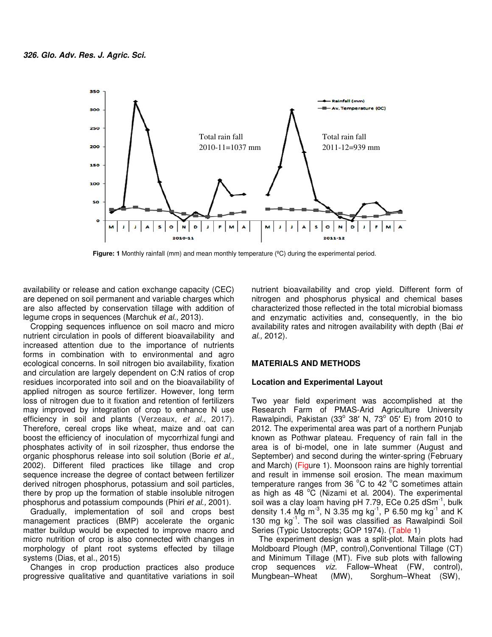

**Figure: 1** Monthly rainfall (mm) and mean monthly temperature (<sup>o</sup>C) during the experimental period.

availability or release and cation exchange capacity (CEC)<br>are depened on soil permanent and variable charges which are depened on soil permanent and variable charges which are also affected by conservation tillage with addition of legume crops in sequences (Marchuk *et al.,* 2013).

Cropping sequences influence on soil macro and micro nutrient circulation in pools of different bioavailability and increased attention due to the importance of nutrients increased attention due to the importance of nutrients<br>forms in combination with to environmental and agro ecological concerns. In soil nitrogen bio availability, fixation and circulation are largely dependent on C:N ratios of crop residues incorporated into soil and on the bioavailability of applied nitrogen as source fertilizer. However, long term loss of nitrogen due to it fixation and retention of fertilizers may improved by integration of crop to enhance N use efficiency in soil and plants (Verzeaux, et al., 2017). Therefore, cereal crops like wheat, maize and oat can boost the efficiency of inoculation of mycorrhizal fungi and phosphates activity of in soil rizospher, thus endorse the organic phosphorus release into soil solution (Borie et al., 2002). Different filed practices like tillage and crop 2002). Different filed practices like tillage and crop<br>sequence-increase-the-degree-of-contact-between-fertilizer derived nitrogen phosphorus, potassium and soil particles, there by prop up the formation of stable insoluble insoluble nitrogen phosphorus and potassium compounds (Phiri et al., 2001). re largely dependent on C:N rat<br>prated into soil and on the bioava<br>as source fertilizer. However,<br>due to it fixation and retention o ion exchange capacity (CEC) nutritrent bioavailability and crop yield<br>on exchange and phosphorus physical and the total nutrient bioavailability and consert<br>and marches at, 2013). and energy and energy and interpolation s

Gradually, implementation of soil and crops best management practices (BMP) accelerate the organic matter buildup would be expected to improve macro and micro nutrition of crop is also connected with changes in morphology of plant root systems effected by tillage systems (Dias, et al., 2015)

Changes in crop production practices also produce progressive qualitative and quantitative variations in soil

nitrogen and phosphorus physical and chemical bases characterized those reflected in the total microbial biomass characterized those reflected in the total microbial biomass<br>and enzymatic activities and, consequently, in the bio availability rates and nitrogen availability with depth (Bai et al., 2012). nutrient bioavailability and crop yield. Different form of

#### **MATERIALS AND METHODS**

### **Location and Experimental Layout Layout**

Two year field experiment was accomplished at the Research Farm of PMAS-Arid Agriculture University<br>Revisional Pokietan (22° 28' N 72° 05' E) from 2010 to Rawalpindi, Pakistan (33° 38' N, 73° 05' E) from 2010 to 2012. The experimental area was part of a northern Punjab known as Pothwar plateau. Frequency of rain fall in the area is of bi-model, one in late summer (August and September) and second during the winter-spring (February and March) (Figure 1). Moonsoon rains are highly torrential and result in immense soil erosion. The mean maximum temperature ranges from 36  $^{\circ}$ C to 42  $^{\circ}$ C sometimes attain as high as 48  $^{\circ}$ C (Nizami et al. 2004). The experimental as high as 48 °C (Nizami et al. 2004). The experimental<br>soil was a clay loam having pH 7.79, ECe 0.25 dSm<sup>-1</sup>, bulk density 1.4 Mg m<sup>-3</sup>, N 3.35 mg kg<sup>-1</sup>, P 6.50 mg kg<sup>-1</sup> and K 130 mg  $kg^{-1}$ . The soil was classified as Rawalpindi Soil 130 mg kg<sup>-i</sup>. The soil was classified as Raw<br>Series (Typic Ustocrepts; GOP 1974). (<mark>Table</mark> 1)

The experiment design was a split-plot. Main plots had Moldboard Plough (MP, control), Conventional Tillage (CT) and Minimum Tillage (MT). Five sub plots with fallowing crop sequences viz. Fallow–Wheat (FW, control), Mungbean–Wheat (MW), Sorghum–Wheat (SW),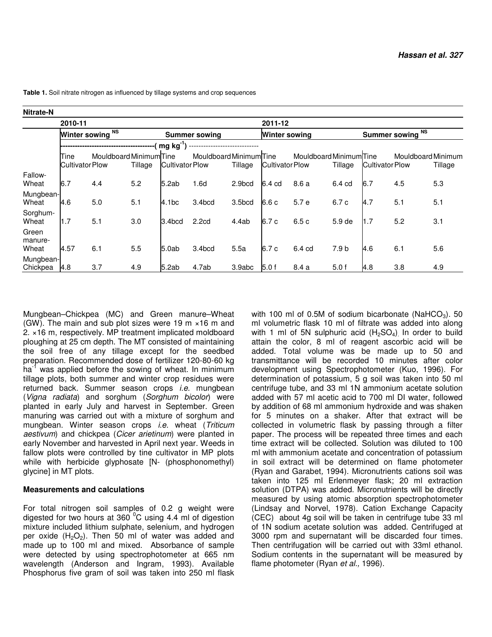| .                         |                        |                         |         |                        |                         |         |                        |                         |         |                        |                    |         |  |
|---------------------------|------------------------|-------------------------|---------|------------------------|-------------------------|---------|------------------------|-------------------------|---------|------------------------|--------------------|---------|--|
|                           | 2010-11                |                         |         |                        |                         |         | 2011-12                |                         |         |                        |                    |         |  |
|                           | Winter sowing NS       |                         |         |                        | <b>Summer sowing</b>    |         |                        | <b>Winter sowing</b>    |         |                        | Summer sowing NS   |         |  |
|                           |                        |                         |         | mg kg                  |                         |         |                        |                         |         |                        |                    |         |  |
|                           | Tine                   | Mouldboard Minimum Tine |         |                        | Mouldboard Minimum Tine |         |                        | Mouldboard Minimum Tine |         |                        | Mouldboard Minimum |         |  |
|                           | <b>Cultivator Plow</b> |                         | Tillage | <b>Cultivator Plow</b> |                         | Tillage | <b>Cultivator Plow</b> |                         | Tillage | <b>Cultivator Plow</b> |                    | Tillage |  |
| Fallow-<br>Wheat          | 6.7                    | 4.4                     | 5.2     | 5.2ab                  | 1.6d                    | 2.9bcd  | 6.4 cd                 | 8.6 a                   | 6.4 cd  | 6.7                    | 4.5                | 5.3     |  |
| Mungbean-<br>Wheat        | 4.6                    | 5.0                     | 5.1     | 4.1 <sub>bc</sub>      | 3.4bcd                  | 3.5bcd  | 6.6 c                  | 5.7 e                   | 6.7 c   | 4.7                    | 5.1                | 5.1     |  |
| Sorghum-<br>Wheat         | 1.7                    | 5.1                     | 3.0     | 3.4bcd                 | 2.2 <sub>cd</sub>       | 4.4ab   | 6.7 c                  | 6.5c                    | 5.9 de  | 1.7                    | 5.2                | 3.1     |  |
| Green<br>manure-<br>Wheat | 4.57                   | 6.1                     | 5.5     | 5.0ab                  | 3.4bcd                  | 5.5a    | 6.7 c                  | 6.4 cd                  | 7.9 b   | 4.6                    | 6.1                | 5.6     |  |
| Mungbean-<br>Chickpea     | 4.8                    | 3.7                     | 4.9     | 5.2ab                  | 4.7ab                   | 3.9abc  | 5.0 f                  | 8.4 a                   | 5.0f    | 4.8                    | 3.8                | 4.9     |  |

**Table 1.** Soil nitrate nitrogen as influenced by tillage systems and crop sequences

**Nitrate-N** 

Mungbean–Chickpea (MC) and Green manure–Wheat (GW). The main and sub plot sizes were 19 m ×16 m and 2. ×16 m, respectively. MP treatment implicated moldboard ploughing at 25 cm depth. The MT consisted of maintaining the soil free of any tillage except for the seedbed preparation. Recommended dose of fertilizer 120-80-60 kg  $ha^{-1}$  was applied before the sowing of wheat. In minimum tillage plots, both summer and winter crop residues were returned back. Summer season crops *i.e.* mungbean (Vigna radiata) and sorghum (Sorghum bicolor) were planted in early July and harvest in September. Green manuring was carried out with a mixture of sorghum and mungbean. Winter season crops i.e. wheat (Triticum aestivum) and chickpea (Cicer arietinum) were planted in early November and harvested in April next year. Weeds in fallow plots were controlled by tine cultivator in MP plots while with herbicide glyphosate [N- (phosphonomethyl) glycine] in MT plots.

# **Measurements and calculations**

For total nitrogen soil samples of 0.2 g weight were digested for two hours at 360 $\degree$ C using 4.4 ml of digestion mixture included lithium sulphate, selenium, and hydrogen per oxide  $(H_2O_2)$ . Then 50 ml of water was added and made up to 100 ml and mixed. Absorbance of sample were detected by using spectrophotometer at 665 nm wavelength (Anderson and Ingram, 1993). Available Phosphorus five gram of soil was taken into 250 ml flask with 100 ml of 0.5M of sodium bicarbonate (NaHCO<sub>3</sub>). 50 ml volumetric flask 10 ml of filtrate was added into along with 1 ml of 5N sulphuric acid  $(H_2SO_4)$  In order to build attain the color, 8 ml of reagent ascorbic acid will be added. Total volume was be made up to 50 and transmittance will be recorded 10 minutes after color development using Spectrophotometer (Kuo, 1996). For determination of potassium, 5 g soil was taken into 50 ml centrifuge tube, and 33 ml 1N ammonium acetate solution added with 57 ml acetic acid to 700 ml DI water, followed by addition of 68 ml ammonium hydroxide and was shaken for 5 minutes on a shaker. After that extract will be collected in volumetric flask by passing through a filter paper. The process will be repeated three times and each time extract will be collected. Solution was diluted to 100 ml with ammonium acetate and concentration of potassium in soil extract will be determined on flame photometer (Ryan and Garabet, 1994). Micronutrients cations soil was taken into 125 ml Erlenmeyer flask; 20 ml extraction solution (DTPA) was added. Micronutrients will be directly measured by using atomic absorption spectrophotometer (Lindsay and Norvel, 1978). Cation Exchange Capacity (CEC) about 4g soil will be taken in centrifuge tube 33 ml of 1N sodium acetate solution was added. Centrifuged at 3000 rpm and supernatant will be discarded four times. Then centrifugation will be carried out with 33ml ethanol. Sodium contents in the supernatant will be measured by flame photometer (Ryan et al., 1996).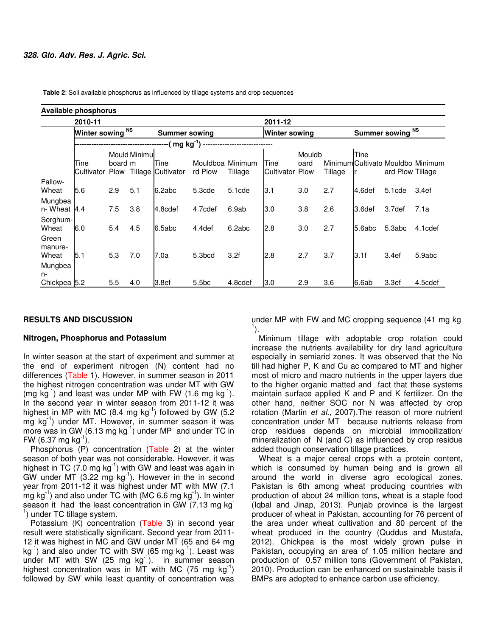| Available phosphorus |                      |     |                                    |                                                                                                               |                                                                       |                                |                      |                   |               |                  |                                                                                |  |
|----------------------|----------------------|-----|------------------------------------|---------------------------------------------------------------------------------------------------------------|-----------------------------------------------------------------------|--------------------------------|----------------------|-------------------|---------------|------------------|--------------------------------------------------------------------------------|--|
| 2010-11              |                      |     |                                    |                                                                                                               |                                                                       | 2011-12                        |                      |                   |               |                  |                                                                                |  |
|                      |                      |     |                                    |                                                                                                               |                                                                       |                                | <b>Winter sowing</b> |                   |               |                  | NS                                                                             |  |
|                      |                      |     |                                    |                                                                                                               |                                                                       |                                |                      |                   |               |                  |                                                                                |  |
|                      |                      |     |                                    |                                                                                                               |                                                                       |                                |                      |                   | Tine          |                  |                                                                                |  |
| Cultivator           | Plow                 |     |                                    | rd Plow                                                                                                       | Tillage                                                               |                                | oard<br>Plow         | Tillage           |               | ard Plow Tillage |                                                                                |  |
| 5.6                  | 2.9                  | 5.1 |                                    | 5.3cde                                                                                                        | $5.1$ cde                                                             | 3.1                            | 3.0                  | 2.7               | 4.6def        | 5.1cde           | 3.4ef                                                                          |  |
| Mungbea<br>14.4      | 7.5                  | 3.8 |                                    | 4.7cdef                                                                                                       | 6.9ab                                                                 | 3.0                            | 3.8                  | 2.6               | 3.6def        | 3.7def           | 7.1a                                                                           |  |
| Sorghum-<br>6.0      | 5.4                  | 4.5 |                                    | 4.4def                                                                                                        | 6.2abc                                                                | 2.8                            | 3.0                  | 2.7               | 5.6abc        | 5.3abc           | 4.1cdef                                                                        |  |
| 15.1                 | 5.3                  | 7.0 | 7.0a                               | 5.3bcd                                                                                                        | 3.2f                                                                  | 2.8                            | 2.7                  | 3.7               | 3.1f          | 3.4ef            | 5.9abc                                                                         |  |
| Mungbea              |                      |     |                                    |                                                                                                               |                                                                       |                                |                      |                   |               |                  | 4.5cdef                                                                        |  |
|                      | Tine<br>Chickpea 5.2 | 5.5 | Winter sowing NS<br>board m<br>4.0 | <b>Mould Minimul</b><br>Tine<br><b>Tillage Cultivator</b><br>6.2abc<br>4.8cdef<br>6.5abc<br>3.8 <sub>ef</sub> | <b>Summer sowing</b><br>-( mg kg <sup>-1</sup> )<br>5.5 <sub>bc</sub> | Mouldboa<br>Minimum<br>4.8cdef | Tine<br>3.0          | Cultivator<br>2.9 | Mouldb<br>3.6 | 6.6ab            | <b>Summer sowing</b><br>Minimum Cultivato Mouldbo Minimum<br>3.3 <sub>ef</sub> |  |

 **Table 2**: Soil available phosphorus as influenced by tillage systems and crop sequences

#### **RESULTS AND DISCUSSION**

#### **Nitrogen, Phosphorus and Potassium**

In winter season at the start of experiment and summer at the end of experiment nitrogen (N) content had no differences (Table 1). However, in summer season in 2011 the highest nitrogen concentration was under MT with GW (mg kg<sup>-1</sup>) and least was under MP with FW (1.6 mg kg<sup>-1</sup>). In the second year in winter season from 2011-12 it was highest in MP with MC  $(8.4 \text{ mg kg}^{-1})$  followed by GW  $(5.2 \text{ m})$ mg kg-1) under MT. However, in summer season it was more was in GW  $(6.13 \text{ mg kg}^{-1})$  under MP and under TC in FW (6.37 mg kg<sup>-1</sup>).

Phosphorus (P) concentration (Table 2) at the winter season of both year was not considerable. However, it was highest in TC  $(7.0 \text{ mg kg}^{-1})$  with GW and least was again in GW under MT  $(3.22 \text{ mg kg}^{-1})$ . However in the in second year from 2011-12 it was highest under MT with MW (7.1 mg  $kg^{-1}$ ) and also under TC with (MC 6.6 mg  $kg^{-1}$ ). In winter season it had the least concentration in GW (7.13 mg kg <sup>1</sup>) under TC tillage system.

Potassium (K) concentration (Table 3) in second year result were statistically significant. Second year from 2011- 12 it was highest in MC and GW under MT (65 and 64 mg  $kg^{-1}$ ) and also under TC with SW (65 mg  $kg^{-1}$ ). Least was under MT with SW (25 mg  $kg^{-1}$ ). in summer season highest concentration was in MT with MC (75 mg  $kg^{-1}$ ) followed by SW while least quantity of concentration was

under MP with FW and MC cropping sequence (41 mg kg<sup>-</sup>  $\left( \right)$ .

Minimum tillage with adoptable crop rotation could increase the nutrients availability for dry land agriculture especially in semiarid zones. It was observed that the No till had higher P, K and Cu ac compared to MT and higher most of micro and macro nutrients in the upper layers due to the higher organic matted and fact that these systems maintain surface applied K and P and K fertilizer. On the other hand, neither SOC nor N was affected by crop rotation (Martin et al., 2007).The reason of more nutrient concentration under MT because nutrients release from crop residues depends on microbial immobilization/ mineralization of N (and C) as influenced by crop residue added though conservation tillage practices.

Wheat is a major cereal crops with a protein content, which is consumed by human being and is grown all around the world in diverse agro ecological zones. Pakistan is 6th among wheat producing countries with production of about 24 million tons, wheat is a staple food (Iqbal and Jinap, 2013). Punjab province is the largest producer of wheat in Pakistan, accounting for 76 percent of the area under wheat cultivation and 80 percent of the wheat produced in the country (Quddus and Mustafa, 2012). Chickpea is the most widely grown pulse in Pakistan, occupying an area of 1.05 million hectare and production of 0.57 million tons (Government of Pakistan, 2010). Production can be enhanced on sustainable basis if BMPs are adopted to enhance carbon use efficiency.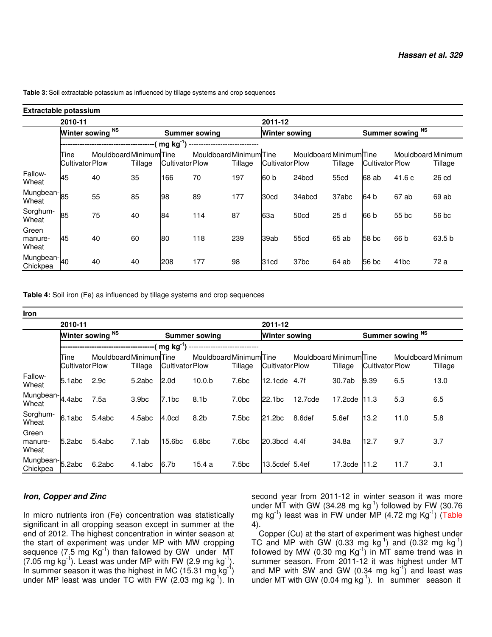|                                     | <b>Extractable potassium</b>   |                         |         |                        |                         |         |                        |                         |         |                        |                    |         |  |
|-------------------------------------|--------------------------------|-------------------------|---------|------------------------|-------------------------|---------|------------------------|-------------------------|---------|------------------------|--------------------|---------|--|
|                                     | 2010-11                        |                         |         |                        |                         |         | 2011-12                |                         |         |                        |                    |         |  |
|                                     | <b>Winter sowing</b>           | <b>NS</b>               |         |                        | <b>Summer sowing</b>    |         |                        | <b>Winter sowing</b>    |         |                        | Summer sowing NS   |         |  |
|                                     |                                |                         |         | $mg kg^{-1}$           |                         |         |                        |                         |         |                        |                    |         |  |
|                                     | Tine<br><b>Cultivator Plow</b> | Mouldboard Minimum Tine | Tillage | <b>Cultivator Plow</b> | Mouldboard Minimum Tine | Tillage | <b>Cultivator Plow</b> | Mouldboard Minimum Tine | Tillage | <b>Cultivator Plow</b> | Mouldboard Minimum | Tillage |  |
| Fallow-<br>Wheat                    | 45                             | 40                      | 35      | 166                    | 70                      | 197     | 60 b                   | 24bcd                   | 55cd    | 68 ab                  | 41.6c              | 26 cd   |  |
| Mungbean- <sub>85</sub><br>Wheat    |                                | 55                      | 85      | 98                     | 89                      | 177     | 30cd                   | 34abcd                  | 37abc   | 64 b                   | 67 ab              | 69 ab   |  |
| Sorghum-<br>Wheat                   | 85                             | 75                      | 40      | 84                     | 114                     | 87      | 63a                    | 50cd                    | 25d     | 66 b                   | 55 bc              | 56 bc   |  |
| Green<br>manure-<br>Wheat           | <b>45</b>                      | 40                      | 60      | 80                     | 118                     | 239     | 39ab                   | 55cd                    | 65 ab   | 58 bc                  | 66 b               | 63.5 b  |  |
| Mungbean- <sub>40</sub><br>Chickpea |                                | 40                      | 40      | 208                    | 177                     | 98      | 31cd                   | 37 <sub>bc</sub>        | 64 ab   | 56 bc                  | 41 <sub>bc</sub>   | 72 a    |  |

**Table 3**: Soil extractable potassium as influenced by tillage systems and crop sequences

# **Table 4:** Soil iron (Fe) as influenced by tillage systems and crop sequences

| Iron                        |                                |                         |                   |                        |                         |                   |                        |                         |                     |                        |                             |         |  |
|-----------------------------|--------------------------------|-------------------------|-------------------|------------------------|-------------------------|-------------------|------------------------|-------------------------|---------------------|------------------------|-----------------------------|---------|--|
|                             | 2010-11                        |                         |                   |                        |                         |                   | 2011-12                |                         |                     |                        |                             |         |  |
|                             | <b>Winter sowing</b>           | ΝS                      |                   | <b>Summer sowing</b>   |                         |                   | <b>Winter sowing</b>   |                         |                     |                        | Summer sowing <sup>NS</sup> |         |  |
|                             |                                |                         |                   | $mg kg^{-1}$           |                         |                   |                        |                         |                     |                        |                             |         |  |
|                             | Tine<br><b>Cultivator Plow</b> | Mouldboard Minimum Tine | Tillage           | <b>Cultivator Plow</b> | Mouldboard Minimum Tine | Tillage           | <b>Cultivator Plow</b> | Mouldboard Minimum Tine | Tillage             | <b>Cultivator Plow</b> | Mouldboard Minimum          | Tillage |  |
| Fallow-<br>Wheat            | 5.1abc                         | 2.9c                    | 5.2abc            | 2.0d                   | 10.0 b                  | 7.6 <sub>bc</sub> | 12.1cde                | 4.7f                    | 30.7ab              | 9.39                   | 6.5                         | 13.0    |  |
| Mungbean-<br>Wheat          | 4.4abc                         | 7.5a                    | 3.9 <sub>bc</sub> | 7.1bc                  | 8.1b                    | 7.0 <sub>bc</sub> | 22.1bc                 | 12.7cde                 | 17.2cde             | l11.3                  | 5.3                         | 6.5     |  |
| Sorghum-<br>Wheat           | 6.1abc                         | 5.4abc                  | 4.5abc            | 4.0cd                  | 8.2 <sub>b</sub>        | 7.5 <sub>bc</sub> | 21.2 <sub>bc</sub>     | 8.6def                  | 5.6ef               | 13.2                   | 11.0                        | 5.8     |  |
| Green<br>manure-<br>Wheat   | 5.2abc                         | 5.4abc                  | 7.1ab             | 15.6 <sub>bc</sub>     | 6.8 <sub>bc</sub>       | 7.6 <sub>bc</sub> | 20.3 <sub>bcd</sub>    | 4.4f                    | 34.8a               | 12.7                   | 9.7                         | 3.7     |  |
| Mungbean-5.2abc<br>Chickpea |                                | 6.2abc                  | 4.1abc            | 6.7b                   | 15.4a                   | 7.5 <sub>bc</sub> | l13.5cdef 5.4ef        |                         | 17.3 <sub>cde</sub> | l11.2                  | 11.7                        | 3.1     |  |

# **Iron, Copper and Zinc**

In micro nutrients iron (Fe) concentration was statistically significant in all cropping season except in summer at the end of 2012. The highest concentration in winter season at the start of experiment was under MP with MW cropping sequence  $(7.5 \text{ mg Kg}^{-1})$  than fallowed by GW under MT  $(7.05 \text{ mg kg}^{-1})$ . Least was under MP with FW  $(2.9 \text{ mg kg}^{-1})$ . In summer season it was the highest in MC (15.31 mg  $kg^{-1}$ ) under MP least was under TC with FW  $(2.03 \text{ mg kg}^{-1})$ . In

second year from 2011-12 in winter season it was more under MT with GW (34.28 mg  $kg^{-1}$ ) followed by FW (30.76 mg kg<sup>-1</sup>) least was in FW under MP (4.72 mg Kg<sup>-1</sup>) (Table 4).

Copper (Cu) at the start of experiment was highest under TC and MP with GW (0.33 mg kg<sup>-1</sup>) and (0.32 mg kg<sup>-1</sup>) followed by MW (0.30 mg  $Kg^{-1}$ ) in MT same trend was in summer season. From 2011-12 it was highest under MT and MP with SW and GW  $(0.34 \text{ mg kg}^{-1})$  and least was under MT with GW (0.04 mg  $kg^{-1}$ ). In summer season it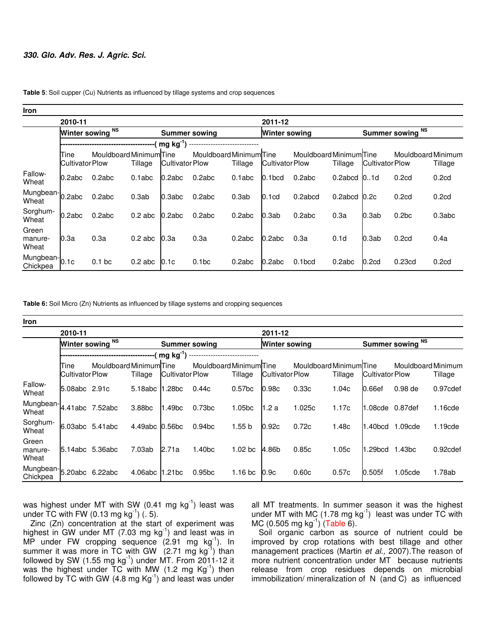**Table 5**: Soil cupper (Cu) Nutrients as influenced by tillage systems and crop sequences

**Iron** 

|                           | 2010-11                           |                         |           |                        |                         |         | 2011-12                |                         |                  |                        |                    |                   |  |
|---------------------------|-----------------------------------|-------------------------|-----------|------------------------|-------------------------|---------|------------------------|-------------------------|------------------|------------------------|--------------------|-------------------|--|
|                           | <b>NS</b><br><b>Winter sowing</b> |                         |           |                        | <b>Summer sowing</b>    |         |                        | <b>Winter sowing</b>    |                  | <b>Summer sowing</b>   | <b>NS</b>          |                   |  |
|                           |                                   |                         |           | mg kg <sup>-</sup>     |                         |         |                        |                         |                  |                        |                    |                   |  |
|                           | Tine<br><b>Cultivator Plow</b>    | Mouldboard Minimum Tine | Tillage   | <b>Cultivator Plow</b> | Mouldboard Minimum Tine | Tillage | <b>Cultivator Plow</b> | Mouldboard Minimum Tine | Tillage          | <b>Cultivator Plow</b> | Mouldboard Minimum | Tillage           |  |
| Fallow-<br>Wheat          | 0.2abc                            | 0.2abc                  | 0.1abc    | 0.2abc                 | 0.2abc                  | 0.1abc  | 0.1 <sub>bcd</sub>     | 0.2abc                  | 0.2abcd          | 0.1d                   | 0.2 <sub>cd</sub>  | 0.2 <sub>cd</sub> |  |
| Mungbean-0.2abc<br>Wheat  |                                   | 0.2abc                  | 0.3ab     | 0.3abc                 | 0.2abc                  | 0.3ab   | 0.1 <sub>cd</sub>      | 0.2abcd                 | 0.2abcd          | 0.2c                   | 0.2 <sub>cd</sub>  | 0.2 <sub>cd</sub> |  |
| Sorghum-<br>Wheat         | 0.2abc                            | 0.2abc                  | $0.2$ abc | 0.2abc                 | 0.2abc                  | 0.2abc  | 0.3ab                  | 0.2abc                  | 0.3a             | 0.3ab                  | 0.2 <sub>bc</sub>  | 0.3abc            |  |
| Green<br>manure-<br>Wheat | 0.3a                              | 0.3a                    | $0.2$ abc | 0.3a                   | 0.3a                    | 0.2abc  | 0.2abc                 | 0.3a                    | 0.1 <sub>d</sub> | 0.3ab                  | 0.2 <sub>cd</sub>  | 0.4a              |  |
| Mungbean-0.1c<br>Chickpea |                                   | 0.1 <sub>bc</sub>       | $0.2$ abc | 0.1c                   | 0.1 <sub>bc</sub>       | 0.2abc  | 0.2abc                 | 0.1 <sub>bcd</sub>      | 0.2abc           | 0.2 <sub>cd</sub>      | 0.23cd             | 0.2 <sub>cd</sub> |  |

**Table 6:** Soil Micro (Zn) Nutrients as influenced by tillage systems and cropping sequences

|                                      | 2010-11                        |                         |                    |                        |                         |                     | 2011-12                |                         |         |                        |                    |             |  |
|--------------------------------------|--------------------------------|-------------------------|--------------------|------------------------|-------------------------|---------------------|------------------------|-------------------------|---------|------------------------|--------------------|-------------|--|
|                                      | Winter sowing NS               |                         |                    |                        | <b>Summer sowing</b>    |                     |                        | <b>Winter sowing</b>    |         |                        | Summer sowing NS   |             |  |
|                                      |                                |                         |                    | mg kg                  |                         |                     |                        |                         |         |                        |                    |             |  |
|                                      | Tine<br><b>Cultivator Plow</b> | Mouldboard Minimum Tine | Tillage            | <b>Cultivator Plow</b> | Mouldboard Minimum Tine | Tillage             | <b>Cultivator Plow</b> | Mouldboard Minimum Tine | Tillage | <b>Cultivator Plow</b> | Mouldboard Minimum | Tillage     |  |
| Fallow-<br>Wheat                     | 5.08abc 2.91c                  |                         | 5.18abc            | .28bc                  | 0.44c                   | 0.57 <sub>bc</sub>  | 0.98c                  | 0.33c                   | 1.04c   | 0.66ef                 | 0.98 de            | 0.97cdef    |  |
| Mungbean-<br>Wheat                   | 4.41abc 7.52abc                |                         | 3.88 <sub>bc</sub> | .49 <sub>bc</sub>      | 0.73 <sub>bc</sub>      | 1.05 <sub>bc</sub>  | 1.2 a                  | 1.025c                  | 1.17c   | 1.08cde                | 0.87def            | 1.16cde     |  |
| Sorghum-<br>Wheat                    | 6.03abc 5.41abc                |                         | 4.49abc            | 0.56 <sub>bc</sub>     | 0.94 <sub>bc</sub>      | 1.55 <sub>b</sub>   | 0.92c                  | 0.72c                   | 1.48c   | 1.40bcd                | 1.09cde            | 1.19cde     |  |
| Green<br>manure-<br>Wheat            | 5.14abc 5.36abc                |                         | 7.03ab             | 2.71a                  | 1.40 <sub>bc</sub>      | 1.02 <sub>b</sub> c | 4.86b                  | 0.85c                   | 1.05c   | 1.29bcd                | 1.43 <sub>bc</sub> | $0.92$ cdef |  |
| Mungbean-5.20abc 6.22abc<br>Chickpea |                                |                         | 4.06abc            | 1.21 <sub>bc</sub>     | 0.95 <sub>bc</sub>      | 1.16 <sub>b</sub> c | 0.9c                   | 0.60c                   | 0.57c   | 0.505f                 | 1.05cde            | 1.78ab      |  |

was highest under MT with SW  $(0.41 \text{ mg kg}^{-1})$  least was under TC with FW  $(0.13 \text{ mg kg}^{-1})$   $(.5)$ .

Zinc (Zn) concentration at the start of experiment was highest in GW under MT  $(7.03 \text{ mg kg}^{-1})$  and least was in  $MP$  under FW cropping sequence (2.91 mg kg $^{-1}$ ). In summer it was more in TC with GW  $(2.71 \text{ mg kg}^3)$  than followed by SW (1.55 mg kg<sup>-1</sup>) under MT. From 2011-12 it was the highest under TC with MW  $(1.2 \text{ mg Kg}^{-1})$  then followed by TC with GW  $(4.8 \text{ mg Kg}^{-1})$  and least was under

all MT treatments. In summer season it was the highest under MT with MC (1.78 mg  $kg^{-1}$ ) least was under TC with MC  $(0.505 \text{ mg kg}^{-1})$  (Table 6).

Soil organic carbon as source of nutrient could be improved by crop rotations with best tillage and other management practices (Martin et al., 2007). The reason of more nutrient concentration under MT because nutrients release from crop residues depends on microbial immobilization/ mineralization of N (and C) as influenced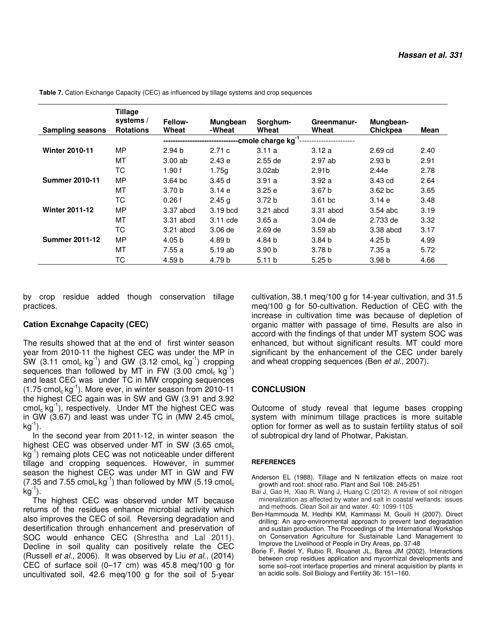| <b>Sampling seasons</b> | Tillage<br>systems /<br><b>Rotations</b> | Fellow-<br>Wheat  | Mungbean<br>-Wheat | Sorghum-<br>Wheat              | Greenmanur-<br>Wheat | Mungbean-<br>Chickpea | Mean |
|-------------------------|------------------------------------------|-------------------|--------------------|--------------------------------|----------------------|-----------------------|------|
|                         |                                          |                   |                    | --cmole charge kg <sup>-</sup> |                      |                       |      |
| <b>Winter 2010-11</b>   | MP.                                      | 2.94 <sub>b</sub> | 2.71c              | 3.11a                          | 3.12a                | $2.69$ $cd$           | 2.40 |
|                         | МT                                       | 3.00ab            | 2.43e              | $2.55$ de                      | 2.97ab               | 2.93 <sub>b</sub>     | 2.91 |
|                         | ТC                                       | 1.90f             | 1.75q              | 3.02ab                         | 2.91 <sub>b</sub>    | 2.44e                 | 2.78 |
| <b>Summer 2010-11</b>   | МP                                       | $3.64$ bc         | 3.45 d             | 3.91a                          | 3.92a                | 3.43 cd               | 2.64 |
|                         | МT                                       | 3.70 <sub>b</sub> | 3.14e              | 3.25e                          | 3.67 b               | 3.62 <sub>bc</sub>    | 3.65 |
|                         | ТC                                       | 0.26f             | 2.45 g             | 3.72 <sub>b</sub>              | $3.61$ bc            | 3.14e                 | 3.48 |
| <b>Winter 2011-12</b>   | MP                                       | 3.37 abcd         | 3.19 bcd           | 3.21 abcd                      | 3.31 abcd            | $3.54$ abc            | 3.19 |
|                         | МT                                       | 3.31 abcd         | 3.11 cde           | 3.65a                          | $3.04$ de            | 2.733 de              | 3.32 |
|                         | ТC                                       | 3.21 abcd         | $3.06$ de          | $2.69$ de                      | 3.59ab               | 3.38 abcd             | 3.17 |
| <b>Summer 2011-12</b>   | MP                                       | 4.05 <sub>b</sub> | 4.89 b             | 4.84 b                         | 3.84 <sub>b</sub>    | 4.25 b                | 4.99 |
|                         | МT                                       | 7.55a             | 5.19 ab            | 3.90 <sub>b</sub>              | 3.78 <sub>b</sub>    | 7.35a                 | 5.72 |
|                         | ТC                                       | 4.59 b            | 4.79 b             | 5.11 b                         | 5.25 b               | 3.98 <sub>b</sub>     | 4.66 |

 **Table 7.** Cation Exchange Capacity (CEC) as influenced by tillage systems and crop sequences

by crop residue added though conservation tillage practices.

#### **Cation Excnahge Capacity (CEC)**

The results showed that at the end of first winter season year from 2010-11 the highest CEC was under the MP in SW  $(3.11 \text{ cmol}_c \text{ kg}^{-1})$  and GW  $(3.12 \text{ cmol}_c \text{ kg}^{-1})$  cropping sequences than followed by MT in FW  $(3.00 \text{ cmol}_c \text{ kg}^{-1})$ and least CEC was under TC in MW cropping sequences  $(1.75 \text{ cmol}_c \text{kg}^{-1})$ . More ever, in winter season from 2010-11 the highest CEC again was in SW and GW (3.91 and 3.92  $\text{cmol}_c$  kg<sup>-1</sup>), respectively. Under MT the highest CEC was in GW  $(3.67)$  and least was under TC in  $(MW 2.45 \text{ cmol}_c)$  $kg^{-1}$ ).

 In the second year from 2011-12, in winter season the highest CEC was observed under MT in SW (3.65 cmol<sub>c</sub> kg<sup>-1</sup>) remaing plots CEC was not noticeable under different tillage and cropping sequences. However, in summer season the highest CEC was under MT in GW and FW  $(7.35$  and  $7.55$  cmol<sub>c</sub> kg<sup>-1</sup>) than followed by MW (5.19 cmol<sub>c</sub>  $kg^{-1}$ ).

 The highest CEC was observed under MT because returns of the residues enhance microbial activity which also improves the CEC of soil. Reversing degradation and desertification through enhancement and preservation of SOC would enhance CEC (Shrestha and Lal 2011). Decline in soil quality can positively relate the CEC (Russell et al., 2006). It was observed by Liu et al., (2014) CEC of surface soil (0–17 cm) was 45.8 meq/100 g for uncultivated soil, 42.6 meq/100 g for the soil of 5-year cultivation, 38.1 meq/100 g for 14-year cultivation, and 31.5 meq/100 g for 50-cultivation. Reduction of CEC with the increase in cultivation time was because of depletion of organic matter with passage of time. Results are also in accord with the findings of that under MT system SOC was enhanced, but without significant results. MT could more significant by the enhancement of the CEC under barely and wheat cropping sequences (Ben et al., 2007).

# **CONCLUSION**

Outcome of study reveal that legume bases cropping system with minimum tillage practices is more suitable option for former as well as to sustain fertility status of soil of subtropical dry land of Photwar, Pakistan.

#### **REFERENCES**

Anderson EL (1988). Tillage and N fertilization effects on maize root growth and root: shoot ratio. Plant and Soil 108: 245-251

- Bai J, Gao H, Xiao R, Wang J, Huang C (2012). A review of soil nitrogen mineralization as affected by water and salt in coastal wetlands: issues and methods. Clean Soil air and water. 40: 1099-1105
- Ben-Hammouda M, Hedhbi KM, Kammassi M, Gouili H (2007). Direct drilling: An agro-environmental approach to prevent land degradation and sustain production. The Proceedings of the International Workshop on Conservation Agriculture for Sustainable Land Management to Improve the Livelihood of People in Dry Areas, pp. 37-48
- Borie F, Redel Y, Rubio R, Rouanet JL, Barea JM (2002). Interactions between crop residues application and mycorrhizal developments and some soil–root interface properties and mineral acquisition by plants in an acidic soils. Soil Biology and Fertility 36: 151–160.